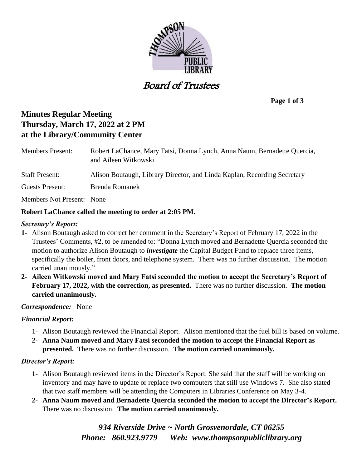

Board of Trustees

**Page 1 of 3**

# **Minutes Regular Meeting Thursday, March 17, 2022 at 2 PM at the Library/Community Center**

| <b>Members Present:</b>                                 | Robert LaChance, Mary Fatsi, Donna Lynch, Anna Naum, Bernadette Quercia,<br>and Aileen Witkowski |
|---------------------------------------------------------|--------------------------------------------------------------------------------------------------|
| <b>Staff Present:</b>                                   | Alison Boutaugh, Library Director, and Linda Kaplan, Recording Secretary                         |
| Guests Present:                                         | Brenda Romanek                                                                                   |
| Members Not Present: None                               |                                                                                                  |
| Robert LaChance called the meeting to order at 2:05 PM. |                                                                                                  |

## *Secretary's Report:*

- **1-** Alison Boutaugh asked to correct her comment in the Secretary's Report of February 17, 2022 in the Trustees' Comments, #2, to be amended to: "Donna Lynch moved and Bernadette Quercia seconded the motion to authorize Alison Boutaugh to *investigate* the Capital Budget Fund to replace three items, specifically the boiler, front doors, and telephone system. There was no further discussion. The motion carried unanimously."
- **2- Aileen Witkowski moved and Mary Fatsi seconded the motion to accept the Secretary's Report of February 17, 2022, with the correction, as presented.** There was no further discussion. **The motion carried unanimously.**

## *Correspondence:* None

## *Financial Report:*

- 1- Alison Boutaugh reviewed the Financial Report. Alison mentioned that the fuel bill is based on volume.
- **2- Anna Naum moved and Mary Fatsi seconded the motion to accept the Financial Report as presented.** There was no further discussion. **The motion carried unanimously.**

## *Director's Report:*

- **1-** Alison Boutaugh reviewed items in the Director's Report. She said that the staff will be working on inventory and may have to update or replace two computers that still use Windows 7. She also stated that two staff members will be attending the Computers in Libraries Conference on May 3-4.
- **2- Anna Naum moved and Bernadette Quercia seconded the motion to accept the Director's Report.**  There was no discussion. **The motion carried unanimously.**

*934 Riverside Drive ~ North Grosvenordale, CT 06255 Phone: 860.923.9779 Web: [www.thompsonpubliclibrary.org](http://www.thompsonpubliclibrary.org/)*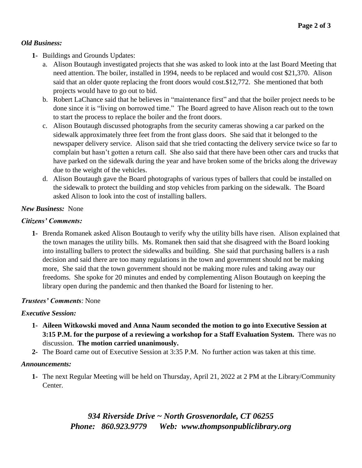## *Old Business:*

- **1-** Buildings and Grounds Updates:
	- a. Alison Boutaugh investigated projects that she was asked to look into at the last Board Meeting that need attention. The boiler, installed in 1994, needs to be replaced and would cost \$21,370. Alison said that an older quote replacing the front doors would cost.\$12,772. She mentioned that both projects would have to go out to bid.
	- b. Robert LaChance said that he believes in "maintenance first" and that the boiler project needs to be done since it is "living on borrowed time." The Board agreed to have Alison reach out to the town to start the process to replace the boiler and the front doors.
	- c. Alison Boutaugh discussed photographs from the security cameras showing a car parked on the sidewalk approximately three feet from the front glass doors. She said that it belonged to the newspaper delivery service. Alison said that she tried contacting the delivery service twice so far to complain but hasn't gotten a return call. She also said that there have been other cars and trucks that have parked on the sidewalk during the year and have broken some of the bricks along the driveway due to the weight of the vehicles.
	- d. Alison Boutaugh gave the Board photographs of various types of ballers that could be installed on the sidewalk to protect the building and stop vehicles from parking on the sidewalk. The Board asked Alison to look into the cost of installing ballers.

## *New Business:* None

## *Citizens' Comments:*

**1-** Brenda Romanek asked Alison Boutaugh to verify why the utility bills have risen. Alison explained that the town manages the utility bills. Ms. Romanek then said that she disagreed with the Board looking into installing ballers to protect the sidewalks and building. She said that purchasing ballers is a rash decision and said there are too many regulations in the town and government should not be making more, She said that the town government should not be making more rules and taking away our freedoms. She spoke for 20 minutes and ended by complementing Alison Boutaugh on keeping the library open during the pandemic and then thanked the Board for listening to her.

## *Trustees' Comments:* None

## *Executive Session:*

- **1- Aileen Witkowski moved and Anna Naum seconded the motion to go into Executive Session at 3:15 P.M. for the purpose of a reviewing a workshop for a Staff Evaluation System.** There was no discussion. **The motion carried unanimously.**
- **2-** The Board came out of Executive Session at 3:35 P.M. No further action was taken at this time.

## *Announcements:*

**1-** The next Regular Meeting will be held on Thursday, April 21, 2022 at 2 PM at the Library/Community Center.

> *934 Riverside Drive ~ North Grosvenordale, CT 06255 Phone: 860.923.9779 Web: [www.thompsonpubliclibrary.org](http://www.thompsonpubliclibrary.org/)*